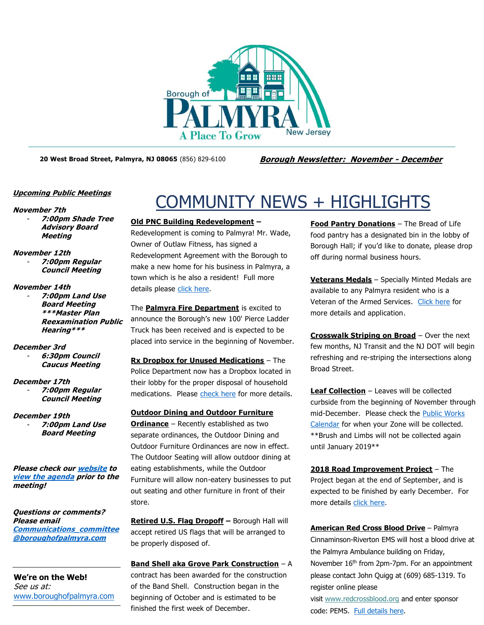

**20 West Broad Street, Palmyra, NJ 08065** (856) 829-6100 **Borough Newsletter: November - December**

# **Upcoming Public Meetings**

# **November 7th**

- **7:00pm Shade Tree Advisory Board Meeting**

- **November 12th**
	- **7:00pm Regular Council Meeting**

# **November 14th**

- **7:00pm Land Use Board Meeting \*\*\*Master Plan Reexamination Public Hearing\*\*\***

**December 3rd**

- **6:30pm Council Caucus Meeting**

# **December 17th**

- **7:00pm Regular Council Meeting**

# **December 19th**

- **7:00pm Land Use Board Meeting**

**Please check ou[r website](http://boroughofpalmyra.com/minutes-agendas) to [view the agenda](http://boroughofpalmyra.com/minutes-agendas) prior to the meeting!**

**Questions or comments? Please email [Communications\\_committee](mailto:Communications_committee@boroughofpalmyra.com) [@boroughofpalmyra.com](mailto:Communications_committee@boroughofpalmyra.com)**

**We're on the Web!** See us at: [www.boroughofpalmyra.com](file:///C:/Users/ballmond/AppData/Roaming/Microsoft/Word/www.boroughofpalmyra.com)

# COMMUNITY NEWS + HIGHLIGHTS

# **Old PNC Building Redevelopment –**

Redevelopment is coming to Palmyra! Mr. Wade, Owner of Outlaw Fitness, has signed a Redevelopment Agreement with the Borough to make a new home for his business in Palmyra, a town which is he also a resident! Full more details please [click here.](http://boroughofpalmyra.com/borough-signs-redevelopment-agreement-for-old-bank)

The **Palmyra Fire Department** is excited to announce the Borough's new 100' Pierce Ladder Truck has been received and is expected to be placed into service in the beginning of November.

**Rx Dropbox for Unused Medications** – The Police Department now has a Dropbox located in their lobby for the proper disposal of household medications. Please [check here](http://boroughofpalmyra.com/the-police-department-has-a-prescription-medicine-drop-box-available) for more details.

**Outdoor Dining and Outdoor Furniture Ordinance** – Recently established as two separate ordinances, the Outdoor Dining and Outdoor Furniture Ordinances are now in effect. The Outdoor Seating will allow outdoor dining at eating establishments, while the Outdoor Furniture will allow non-eatery businesses to put out seating and other furniture in front of their store.

**Retired U.S. Flag Dropoff –** Borough Hall will accept retired US flags that will be arranged to be properly disposed of.

**Band Shell aka Grove Park Construction** – A contract has been awarded for the construction of the Band Shell. Construction began in the beginning of October and is estimated to be finished the first week of December.

**Food Pantry Donations** – The Bread of Life food pantry has a designated bin in the lobby of Borough Hall; if you'd like to donate, please drop off during normal business hours.

**Veterans Medals** – Specially Minted Medals are available to any Palmyra resident who is a Veteran of the Armed Services. [Click here](http://boroughofpalmyra.com/military-service-medal) for more details and application.

**Crosswalk Striping on Broad** – Over the next few months, NJ Transit and the NJ DOT will begin refreshing and re-striping the intersections along Broad Street.

**Leaf Collection** – Leaves will be collected curbside from the beginning of November through mid-December. Please check the [Public Works](https://calendar.google.com/calendar/embed?src=9874escatkkqpovui1upb97hv4@group.calendar.google.com&ctz=America/New_York)  [Calendar](https://calendar.google.com/calendar/embed?src=9874escatkkqpovui1upb97hv4@group.calendar.google.com&ctz=America/New_York) for when your Zone will be collected. \*\*Brush and Limbs will not be collected again until January 2019\*\*

**2018 Road Improvement Project** – The Project began at the end of September, and is expected to be finished by early December. For more details [click here.](http://boroughofpalmyra.com/2018-road-improvement-program-to-begin)

**American Red Cross Blood Drive** – Palmyra Cinnaminson-Riverton EMS will host a blood drive at the Palmyra Ambulance building on Friday, November 16<sup>th</sup> from 2pm-7pm. For an appointment please contact John Quigg at (609) 685-1319. To register online please

visit [www.redcrossblood.org](https://www.redcrossblood.org/) and enter sponsor code: PEMS. [Full details](http://boroughofpalmyra.com/american-red-cross-blood-drive-palmyra-ambulance-squad) here.